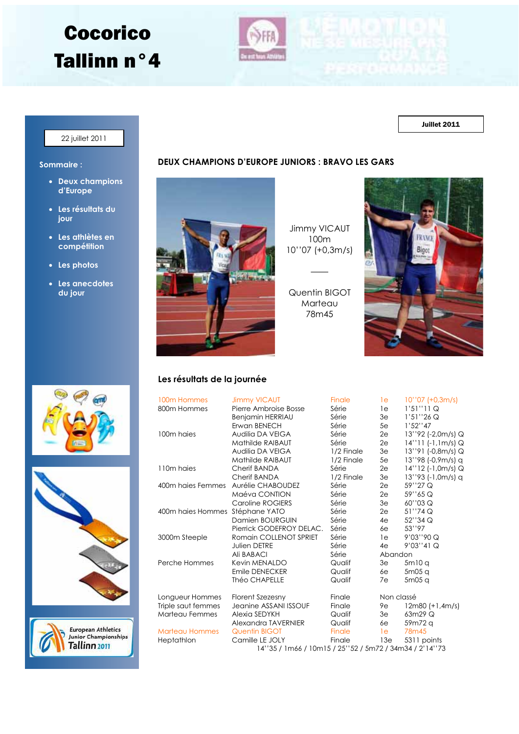# Cocorico Tallinn n°4



DEUX CHAMPIONS D'EUROPE JUNIORS : BRAVO LES GARS

**Juillet 2011** 

### 22 juillet 2011

#### Sommaire :

- Deux champions d'Europe
- · Les résultats du jour
- Les athlètes en compétition
- Les photos
- Les anecdotes du jour



Jimmy VICAUT  $100m$ 10"07 (+0,3m/s)

Quentin BIGOT Marteau 78m45



## Les résultats de la journée

| 100m Hommes           | <b>Jimmy VICAUT</b>                                   | Finale        | le         | $10''07$ (+0,3m/s)              |  |  |
|-----------------------|-------------------------------------------------------|---------------|------------|---------------------------------|--|--|
| 800m Hommes           | Pierre Ambroise Bosse                                 | Série         | le         | 1'51''11Q                       |  |  |
|                       | <b>Benjamin HERRIAU</b>                               | Série         | 3e         | 1'51''26Q                       |  |  |
|                       | Erwan BENECH                                          | Série         | 5e         | $1'52'$ '47                     |  |  |
| 100m haies            | Audilia DA VEIGA                                      | Série         | 2e         | 13''92 (-2,0m/s) Q              |  |  |
|                       | Mathilde RAIBAUT                                      | Série         | 2e         | $14''11$ (-1,1m/s) $\textsf{Q}$ |  |  |
|                       | Audilia DA VEIGA                                      | 1/2 Finale    | 3e         | 13''91 (-0,8m/s) Q              |  |  |
|                       | Mathilde RAIBAUT                                      | 1/2 Finale    | 5e         | 13''98 (-0,9m/s) q              |  |  |
| 110m haies            | Cherif BANDA                                          | Série         | 2e         | $14''12$ (-1,0m/s) $\text{Q}$   |  |  |
|                       | Cherif BANDA                                          | 1/2 Finale    | 3e         | 13"93 (-1,0m/s) q               |  |  |
| 400m haies Femmes     | Aurélie CHABOUDEZ                                     | Série         | 2e         | 59''27 Q                        |  |  |
|                       | Maéva CONTION                                         | Série         | 2e         | 59''65Q                         |  |  |
|                       | <b>Caroline ROGIERS</b>                               | Série         | 3e         | 60''03 Q                        |  |  |
| 400m haies Hommes     | Stéphane YATO                                         | Série         | 2e         | 51''74 Q                        |  |  |
|                       | Damien BOURGUIN                                       | Série         | 4e         | 52''34 Q                        |  |  |
|                       | Pierrick GODEFROY DELAC.                              | Série         | 6e         | 53''97                          |  |  |
| 3000m Steeple         | Romain COLLENOT SPRIET                                | Série         | le         | 9'03''90Q                       |  |  |
|                       | <b>Julien DETRE</b>                                   | Série         | 4e         | 9'03''41Q                       |  |  |
|                       | Ali BABACI                                            | Série         | Abandon    |                                 |  |  |
| Perche Hommes         | Kevin MENALDO                                         | Qualif        | 3e         | 5m10q                           |  |  |
|                       | Emile DENECKER                                        | Qualif        | 6e         | $5m05$ a                        |  |  |
|                       | <b>Théo CHAPELLE</b>                                  | Qualif        | 7e         | $5m05$ a                        |  |  |
| Longueur Hommes       | <b>Florent Szezesny</b>                               | Finale        | Non classé |                                 |  |  |
| Triple saut femmes    | Jeanine ASSANI ISSOUF                                 | Finale        | 9e         | $12m80 (+1,4m/s)$               |  |  |
| Marteau Femmes        | Alexia SEDYKH                                         | Qualif        | 3e         | 63m29 Q                         |  |  |
|                       | Alexandra TAVERNIER                                   | Qualif        | 6e         | 59m72 g                         |  |  |
| <b>Marteau Hommes</b> | <b>Quentin BIGOT</b>                                  | <b>Finale</b> | 1e         | 78m45                           |  |  |
| Heptathlon            | Camille LE JOLY                                       | Finale        | 13e        | 5311 points                     |  |  |
|                       | 14"35 / 1m66 / 10m15 / 25"52 / 5m72 / 34m34 / 2'14"73 |               |            |                                 |  |  |





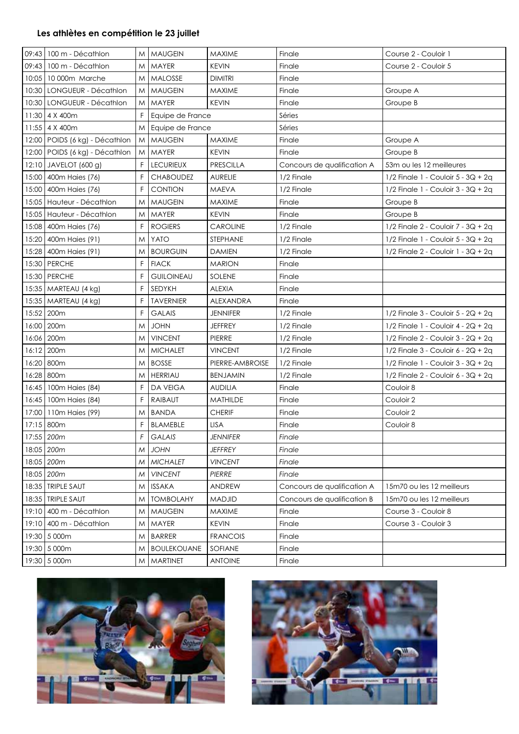## Les athlètes en compétition le 23 juillet

|       | 09:43   100 m - Décathlon      | M <sub>1</sub> | <b>MAUGEIN</b>     | MAXIME          | Finale                      | Course 2 - Couloir 1                     |
|-------|--------------------------------|----------------|--------------------|-----------------|-----------------------------|------------------------------------------|
|       | 09:43   100 m - Décathlon      | M              | <b>MAYER</b>       | <b>KEVIN</b>    | Finale                      | Course 2 - Couloir 5                     |
|       | 10:05 10 000m Marche           | M <sub>1</sub> | MALOSSE            | <b>DIMITRI</b>  | Finale                      |                                          |
|       | 10:30 LONGUEUR - Décathlon     | M.             | <b>MAUGEIN</b>     | <b>MAXIME</b>   | Finale                      | Groupe A                                 |
|       | 10:30 LONGUEUR - Décathlon     | M <sub>1</sub> | <b>MAYER</b>       | <b>KEVIN</b>    | Finale                      | Groupe B                                 |
|       | 11:30 4 X 400m                 | F.             | Equipe de France   |                 | Séries                      |                                          |
|       | 11:55 4 X 400m                 | $M_{\odot}$    | Equipe de France   |                 | Séries                      |                                          |
|       | 12:00 POIDS (6 kg) - Décathlon | M <sub>1</sub> | <b>MAUGEIN</b>     | <b>MAXIME</b>   | Finale                      | Groupe A                                 |
|       | 12:00 POIDS (6 kg) - Décathlon | M <sub>1</sub> | <b>MAYER</b>       | <b>KEVIN</b>    | Finale                      | Groupe B                                 |
|       | 12:10 JAVELOT (600 g)          | F.             | <b>LECURIEUX</b>   | PRESCILLA       | Concours de qualification A | 53m ou les 12 meilleures                 |
| 15:00 | 400m Haies (76)                | F              | <b>CHABOUDEZ</b>   | <b>AURELIE</b>  | 1/2 Finale                  | $1/2$ Finale 1 - Couloir 5 - $3Q + 2q$   |
|       | 15:00 400m Haies (76)          | F              | <b>CONTION</b>     | <b>MAEVA</b>    | 1/2 Finale                  | $1/2$ Finale $1 -$ Couloir $3 - 3Q + 2q$ |
|       | 15:05 Hauteur - Décathlon      | M              | <b>MAUGEIN</b>     | MAXIME          | Finale                      | Groupe B                                 |
|       | 15:05 Hauteur - Décathlon      | M              | <b>MAYER</b>       | <b>KEVIN</b>    | Finale                      | Groupe B                                 |
|       | 15:08 400m Haies (76)          | F              | <b>ROGIERS</b>     | <b>CAROLINE</b> | 1/2 Finale                  | $1/2$ Finale 2 - Couloir 7 - $3Q + 2q$   |
|       | 15:20 400m Haies (91)          | M              | YATO               | STEPHANE        | 1/2 Finale                  | $1/2$ Finale $1 -$ Couloir $5 - 3Q + 2q$ |
|       | 15:28 400m Haies (91)          | M              | <b>BOURGUIN</b>    | <b>DAMIEN</b>   | 1/2 Finale                  | $1/2$ Finale 2 - Couloir $1 - 3Q + 2q$   |
|       | 15:30 PERCHE                   | F              | <b>FIACK</b>       | <b>MARION</b>   | Finale                      |                                          |
|       | 15:30 PERCHE                   | F              | <b>GUILOINEAU</b>  | SOLENE          | Finale                      |                                          |
|       | 15:35 MARTEAU (4 kg)           | F              | SEDYKH             | ALEXIA          | Finale                      |                                          |
|       | 15:35 MARTEAU (4 kg)           | F              | <b>TAVERNIER</b>   | ALEXANDRA       | Finale                      |                                          |
|       | 15:52 200m                     | F              | <b>GALAIS</b>      | <b>JENNIFER</b> | 1/2 Finale                  | $1/2$ Finale 3 - Couloir 5 - $2Q + 2q$   |
|       | 16:00 200m                     | M              | <b>JOHN</b>        | <b>JEFFREY</b>  | 1/2 Finale                  | $1/2$ Finale $1$ - Couloir 4 - $2Q + 2q$ |
|       | 16:06 200m                     | M              | <b>VINCENT</b>     | PIERRE          | 1/2 Finale                  | $1/2$ Finale 2 - Couloir $3 - 2Q + 2q$   |
| 16:12 | 200m                           | M              | <b>MICHALET</b>    | <b>VINCENT</b>  | 1/2 Finale                  | $1/2$ Finale 3 - Couloir 6 - $2Q + 2q$   |
| 16:20 | 800m                           | M              | <b>BOSSE</b>       | PIERRE-AMBROISE | 1/2 Finale                  | $1/2$ Finale $1 -$ Couloir $3 - 3Q + 2q$ |
|       | 16:28 800m                     | M              | <b>HERRIAU</b>     | <b>BENJAMIN</b> | 1/2 Finale                  | $1/2$ Finale 2 - Couloir 6 - $3Q + 2q$   |
|       | 16:45 100m Haies (84)          | F              | <b>DA VEIGA</b>    | AUDILIA         | Finale                      | Couloir 8                                |
|       | 16:45 100m Haies (84)          | F              | RAIBAUT            | MATHILDE        | Finale                      | Couloir 2                                |
|       | 17:00   110m Haies (99)        | M              | <b>BANDA</b>       | <b>CHERIF</b>   | Finale                      | Couloir 2                                |
|       | 17:15 800m                     | F              | BLAMEBLE           | LISA            | Finale                      | Couloir 8                                |
|       | 17:55 200m                     |                | $F$ GALAIS         | <b>JENNIFER</b> | Finale                      |                                          |
|       | 18:05 200m                     | M              | <b>JOHN</b>        | <b>JEFFREY</b>  | Finale                      |                                          |
|       | 18:05 200m                     | M              | <b>MICHALET</b>    | <b>VINCENT</b>  | Finale                      |                                          |
|       | 18:05 200m                     | Μ              | <b>VINCENT</b>     | PIERRE          | Finale                      |                                          |
|       | 18:35 TRIPLE SAUT              | M              | <b>ISSAKA</b>      | ANDREW          | Concours de qualification A | 15m70 ou les 12 meilleurs                |
|       | 18:35   TRIPLE SAUT            | M              | <b>TOMBOLAHY</b>   | <b>MADJID</b>   | Concours de qualification B | 15m70 ou les 12 meilleurs                |
|       | 19:10 400 m - Décathlon        | M              | <b>MAUGEIN</b>     | MAXIME          | Finale                      | Course 3 - Couloir 8                     |
|       | 19:10 400 m - Décathlon        | M              | MAYER              | <b>KEVIN</b>    | Finale                      | Course 3 - Couloir 3                     |
|       | 19:30 5 000m                   | M              | <b>BARRER</b>      | <b>FRANCOIS</b> | Finale                      |                                          |
|       | 19:30 5 000m                   | M              | <b>BOULEKOUANE</b> | SOFIANE         | Finale                      |                                          |
|       | 19:30 5 000m                   | M I            | <b>MARTINET</b>    | <b>ANTOINE</b>  | Finale                      |                                          |



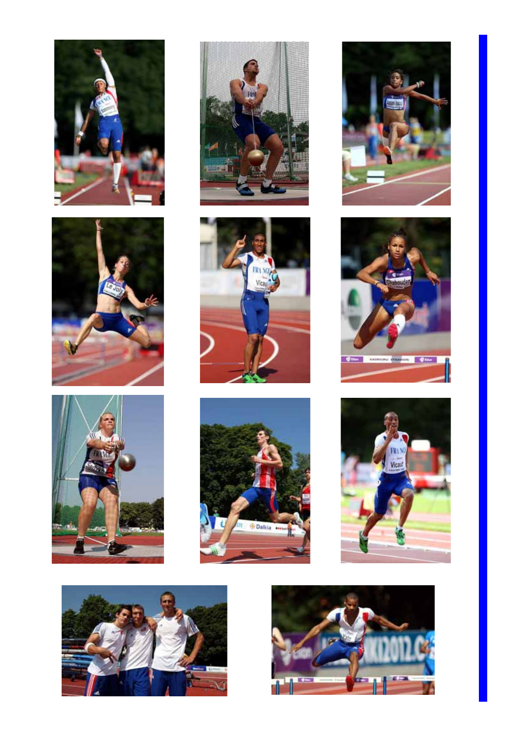